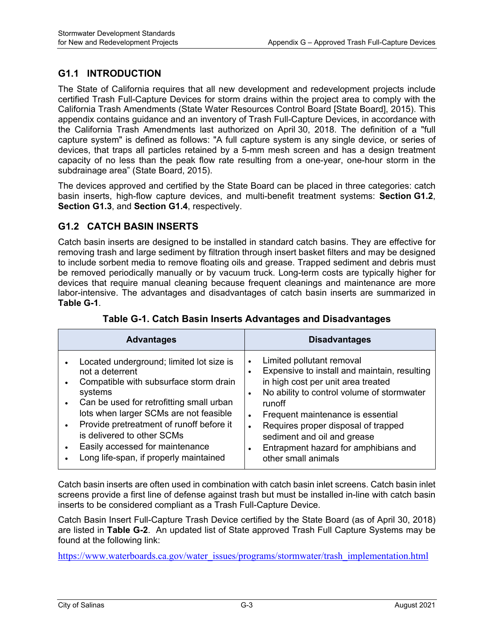#### **G1.1 INTRODUCTION**

The State of California requires that all new development and redevelopment projects include certified Trash Full-Capture Devices for storm drains within the project area to comply with the California Trash Amendments (State Water Resources Control Board [State Board], 2015). This appendix contains guidance and an inventory of Trash Full-Capture Devices, in accordance with the California Trash Amendments last authorized on April 30, 2018. The definition of a "full capture system" is defined as follows: "A full capture system is any single device, or series of devices, that traps all particles retained by a 5-mm mesh screen and has a design treatment capacity of no less than the peak flow rate resulting from a one-year, one-hour storm in the subdrainage area" (State Board, 2015).

The devices approved and certified by the State Board can be placed in three categories: catch basin inserts, high-flow capture devices, and multi-benefit treatment systems: **Section G1.2**, **Section G1.3**, and **Section G1.4**, respectively.

#### **G1.2 CATCH BASIN INSERTS**

Catch basin inserts are designed to be installed in standard catch basins. They are effective for removing trash and large sediment by filtration through insert basket filters and may be designed to include sorbent media to remove floating oils and grease. Trapped sediment and debris must be removed periodically manually or by vacuum truck. Long-term costs are typically higher for devices that require manual cleaning because frequent cleanings and maintenance are more labor-intensive. The advantages and disadvantages of catch basin inserts are summarized in **Table G-1**.

| <b>Advantages</b>                                                                                                                                                                                                                                                                                                                                                                                                              | <b>Disadvantages</b>                                                                                                                                                                                                                                                                                                                                                                                                            |
|--------------------------------------------------------------------------------------------------------------------------------------------------------------------------------------------------------------------------------------------------------------------------------------------------------------------------------------------------------------------------------------------------------------------------------|---------------------------------------------------------------------------------------------------------------------------------------------------------------------------------------------------------------------------------------------------------------------------------------------------------------------------------------------------------------------------------------------------------------------------------|
| Located underground; limited lot size is<br>$\bullet$<br>not a deterrent<br>Compatible with subsurface storm drain<br>$\bullet$<br>systems<br>Can be used for retrofitting small urban<br>$\bullet$<br>lots when larger SCMs are not feasible<br>Provide pretreatment of runoff before it<br>$\bullet$<br>is delivered to other SCMs<br>Easily accessed for maintenance<br>$\bullet$<br>Long life-span, if properly maintained | Limited pollutant removal<br>$\bullet$<br>Expensive to install and maintain, resulting<br>$\bullet$<br>in high cost per unit area treated<br>No ability to control volume of stormwater<br>$\bullet$<br>runoff<br>Frequent maintenance is essential<br>$\bullet$<br>Requires proper disposal of trapped<br>$\bullet$<br>sediment and oil and grease<br>Entrapment hazard for amphibians and<br>$\bullet$<br>other small animals |

**Table G-1. Catch Basin Inserts Advantages and Disadvantages** 

Catch basin inserts are often used in combination with catch basin inlet screens. Catch basin inlet screens provide a first line of defense against trash but must be installed in-line with catch basin inserts to be considered compliant as a Trash Full-Capture Device.

Catch Basin Insert Full-Capture Trash Device certified by the State Board (as of April 30, 2018) are listed in **Table G-2**. An updated list of State approved Trash Full Capture Systems may be found at the following link:

https://www.waterboards.ca.gov/water\_issues/programs/stormwater/trash\_implementation.html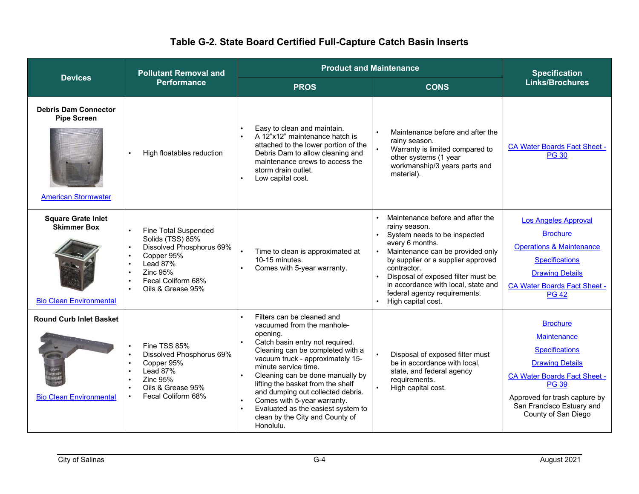| <b>Devices</b>                                                                    | <b>Pollutant Removal and</b>                                                                                                                                 | <b>Product and Maintenance</b>                                                                                                                                                                                                                                                                                                                                                                                                             |                                                                                                                                                                                                                                                                                                                                  | <b>Specification</b>                                                                                                                                                                                                                 |
|-----------------------------------------------------------------------------------|--------------------------------------------------------------------------------------------------------------------------------------------------------------|--------------------------------------------------------------------------------------------------------------------------------------------------------------------------------------------------------------------------------------------------------------------------------------------------------------------------------------------------------------------------------------------------------------------------------------------|----------------------------------------------------------------------------------------------------------------------------------------------------------------------------------------------------------------------------------------------------------------------------------------------------------------------------------|--------------------------------------------------------------------------------------------------------------------------------------------------------------------------------------------------------------------------------------|
|                                                                                   | <b>Performance</b>                                                                                                                                           | <b>PROS</b>                                                                                                                                                                                                                                                                                                                                                                                                                                | <b>CONS</b>                                                                                                                                                                                                                                                                                                                      | <b>Links/Brochures</b>                                                                                                                                                                                                               |
| <b>Debris Dam Connector</b><br><b>Pipe Screen</b><br><b>American Stormwater</b>   | High floatables reduction                                                                                                                                    | Easy to clean and maintain.<br>A 12"x12" maintenance hatch is<br>attached to the lower portion of the<br>Debris Dam to allow cleaning and<br>maintenance crews to access the<br>storm drain outlet.<br>Low capital cost.                                                                                                                                                                                                                   | Maintenance before and after the<br>rainy season.<br>Warranty is limited compared to<br>other systems (1 year<br>workmanship/3 years parts and<br>material).                                                                                                                                                                     | <b>CA Water Boards Fact Sheet -</b><br><b>PG 30</b>                                                                                                                                                                                  |
| <b>Square Grate Inlet</b><br><b>Skimmer Box</b><br><b>Bio Clean Environmental</b> | <b>Fine Total Suspended</b><br>Solids (TSS) 85%<br>Dissolved Phosphorus 69%<br>Copper 95%<br>Lead 87%<br>Zinc 95%<br>Fecal Coliform 68%<br>Oils & Grease 95% | Time to clean is approximated at<br>10-15 minutes.<br>Comes with 5-year warranty.                                                                                                                                                                                                                                                                                                                                                          | Maintenance before and after the<br>rainy season.<br>System needs to be inspected<br>every 6 months.<br>Maintenance can be provided only<br>by supplier or a supplier approved<br>contractor.<br>Disposal of exposed filter must be<br>in accordance with local, state and<br>federal agency requirements.<br>High capital cost. | <b>Los Angeles Approval</b><br><b>Brochure</b><br><b>Operations &amp; Maintenance</b><br><b>Specifications</b><br><b>Drawing Details</b><br><b>CA Water Boards Fact Sheet -</b><br><b>PG 42</b>                                      |
| <b>Round Curb Inlet Basket</b><br><b>Bio Clean Environmental</b>                  | Fine TSS 85%<br>Dissolved Phosphorus 69%<br>Copper 95%<br>Lead 87%<br><b>Zinc 95%</b><br>Oils & Grease 95%<br>Fecal Coliform 68%                             | Filters can be cleaned and<br>vacuumed from the manhole-<br>opening.<br>Catch basin entry not required.<br>Cleaning can be completed with a<br>vacuum truck - approximately 15-<br>minute service time.<br>Cleaning can be done manually by<br>lifting the basket from the shelf<br>and dumping out collected debris.<br>Comes with 5-year warranty.<br>Evaluated as the easiest system to<br>clean by the City and County of<br>Honolulu. | Disposal of exposed filter must<br>be in accordance with local,<br>state, and federal agency<br>requirements.<br>High capital cost.                                                                                                                                                                                              | <b>Brochure</b><br><b>Maintenance</b><br><b>Specifications</b><br><b>Drawing Details</b><br><b>CA Water Boards Fact Sheet -</b><br><b>PG 39</b><br>Approved for trash capture by<br>San Francisco Estuary and<br>County of San Diego |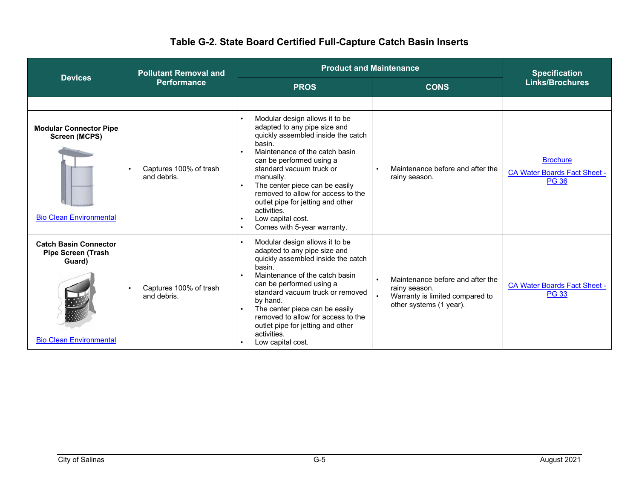|                                                                                                       | <b>Product and Maintenance</b><br><b>Pollutant Removal and</b> |                                                                                                                                                                                                                                                                                                                                                                                                       | <b>Specification</b>                                                                                            |                                                                        |
|-------------------------------------------------------------------------------------------------------|----------------------------------------------------------------|-------------------------------------------------------------------------------------------------------------------------------------------------------------------------------------------------------------------------------------------------------------------------------------------------------------------------------------------------------------------------------------------------------|-----------------------------------------------------------------------------------------------------------------|------------------------------------------------------------------------|
| <b>Devices</b>                                                                                        | <b>Performance</b>                                             | <b>PROS</b>                                                                                                                                                                                                                                                                                                                                                                                           | <b>CONS</b>                                                                                                     | <b>Links/Brochures</b>                                                 |
|                                                                                                       |                                                                |                                                                                                                                                                                                                                                                                                                                                                                                       |                                                                                                                 |                                                                        |
| <b>Modular Connector Pipe</b><br><b>Screen (MCPS)</b><br><b>Bio Clean Environmental</b>               | Captures 100% of trash<br>and debris.                          | Modular design allows it to be<br>adapted to any pipe size and<br>quickly assembled inside the catch<br>basin.<br>Maintenance of the catch basin<br>can be performed using a<br>standard vacuum truck or<br>manually.<br>The center piece can be easily<br>removed to allow for access to the<br>outlet pipe for jetting and other<br>activities.<br>Low capital cost.<br>Comes with 5-year warranty. | Maintenance before and after the<br>rainy season.                                                               | <b>Brochure</b><br><b>CA Water Boards Fact Sheet -</b><br><b>PG 36</b> |
| <b>Catch Basin Connector</b><br><b>Pipe Screen (Trash</b><br>Guard)<br><b>Bio Clean Environmental</b> | Captures 100% of trash<br>$\bullet$<br>and debris.             | Modular design allows it to be<br>adapted to any pipe size and<br>quickly assembled inside the catch<br>basin.<br>Maintenance of the catch basin<br>can be performed using a<br>standard vacuum truck or removed<br>by hand.<br>The center piece can be easily<br>removed to allow for access to the<br>outlet pipe for jetting and other<br>activities.<br>Low capital cost.                         | Maintenance before and after the<br>rainy season.<br>Warranty is limited compared to<br>other systems (1 year). | <b>CA Water Boards Fact Sheet -</b><br><b>PG 33</b>                    |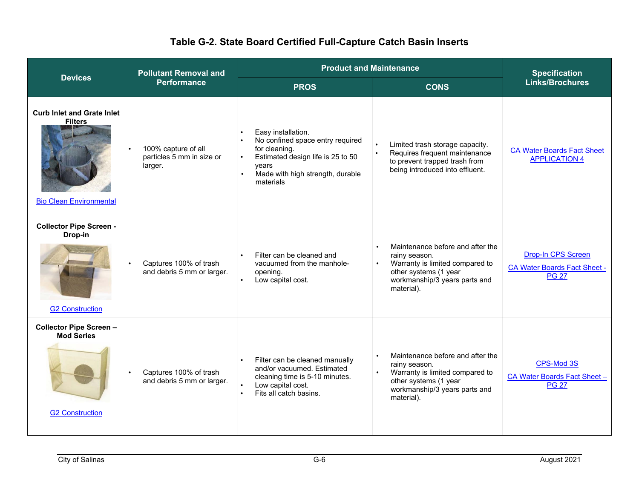| <b>Devices</b>                                                                        | <b>Pollutant Removal and</b>                                | <b>Product and Maintenance</b>                                                                                                                                                      |                                                                                                                                                                           | <b>Specification</b>                                                             |
|---------------------------------------------------------------------------------------|-------------------------------------------------------------|-------------------------------------------------------------------------------------------------------------------------------------------------------------------------------------|---------------------------------------------------------------------------------------------------------------------------------------------------------------------------|----------------------------------------------------------------------------------|
|                                                                                       | <b>Performance</b>                                          | <b>PROS</b>                                                                                                                                                                         | <b>CONS</b>                                                                                                                                                               | <b>Links/Brochures</b>                                                           |
| <b>Curb Inlet and Grate Inlet</b><br><b>Filters</b><br><b>Bio Clean Environmental</b> | 100% capture of all<br>particles 5 mm in size or<br>larger. | Easy installation.<br>No confined space entry required<br>for cleaning.<br>Estimated design life is 25 to 50<br>years<br>Made with high strength, durable<br>$\bullet$<br>materials | Limited trash storage capacity.<br>Requires frequent maintenance<br>$\bullet$<br>to prevent trapped trash from<br>being introduced into effluent.                         | <b>CA Water Boards Fact Sheet</b><br><b>APPLICATION 4</b>                        |
| <b>Collector Pipe Screen -</b><br>Drop-in<br><b>G2 Construction</b>                   | Captures 100% of trash<br>and debris 5 mm or larger.        | Filter can be cleaned and<br>vacuumed from the manhole-<br>opening.<br>Low capital cost.                                                                                            | Maintenance before and after the<br>rainy season.<br>Warranty is limited compared to<br>other systems (1 year<br>workmanship/3 years parts and<br>material).              | <b>Drop-In CPS Screen</b><br><b>CA Water Boards Fact Sheet -</b><br><b>PG 27</b> |
| <b>Collector Pipe Screen -</b><br><b>Mod Series</b><br><b>G2 Construction</b>         | Captures 100% of trash<br>and debris 5 mm or larger.        | Filter can be cleaned manually<br>$\bullet$<br>and/or vacuumed. Estimated<br>cleaning time is 5-10 minutes.<br>Low capital cost.<br>Fits all catch basins.                          | Maintenance before and after the<br>rainy season.<br>Warranty is limited compared to<br>$\bullet$<br>other systems (1 year<br>workmanship/3 years parts and<br>material). | CPS-Mod 3S<br>CA Water Boards Fact Sheet-<br><b>PG 27</b>                        |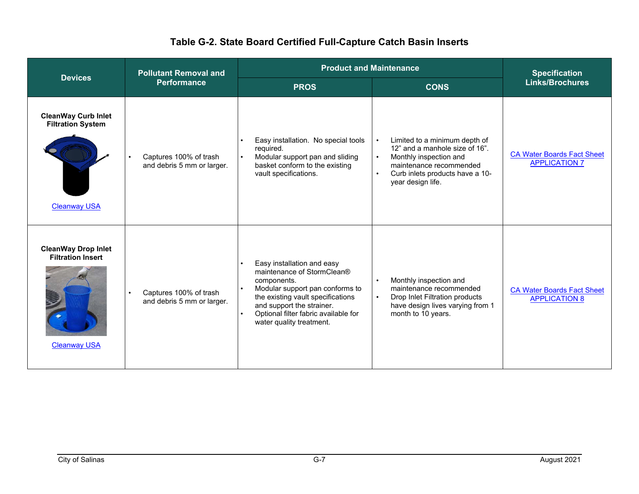| <b>Devices</b>                                                                | <b>Pollutant Removal and</b>                         | <b>Product and Maintenance</b>                                                                                                                                                                                                                   |                                                                                                                                                                                                        | <b>Specification</b>                                      |
|-------------------------------------------------------------------------------|------------------------------------------------------|--------------------------------------------------------------------------------------------------------------------------------------------------------------------------------------------------------------------------------------------------|--------------------------------------------------------------------------------------------------------------------------------------------------------------------------------------------------------|-----------------------------------------------------------|
|                                                                               | <b>Performance</b>                                   | <b>PROS</b>                                                                                                                                                                                                                                      | <b>CONS</b>                                                                                                                                                                                            | <b>Links/Brochures</b>                                    |
| <b>CleanWay Curb Inlet</b><br><b>Filtration System</b><br><b>Cleanway USA</b> | Captures 100% of trash<br>and debris 5 mm or larger. | Easy installation. No special tools<br>required.<br>Modular support pan and sliding<br>basket conform to the existing<br>vault specifications.                                                                                                   | Limited to a minimum depth of<br>12" and a manhole size of 16".<br>Monthly inspection and<br>$\bullet$<br>maintenance recommended<br>Curb inlets products have a 10-<br>$\bullet$<br>year design life. | <b>CA Water Boards Fact Sheet</b><br><b>APPLICATION 7</b> |
| <b>CleanWay Drop Inlet</b><br><b>Filtration Insert</b><br><b>Cleanway USA</b> | Captures 100% of trash<br>and debris 5 mm or larger. | Easy installation and easy<br>maintenance of StormClean®<br>components.<br>Modular support pan conforms to<br>the existing vault specifications<br>and support the strainer.<br>Optional filter fabric available for<br>water quality treatment. | Monthly inspection and<br>$\bullet$<br>maintenance recommended<br>Drop Inlet Filtration products<br>$\bullet$<br>have design lives varying from 1<br>month to 10 years.                                | <b>CA Water Boards Fact Sheet</b><br><b>APPLICATION 8</b> |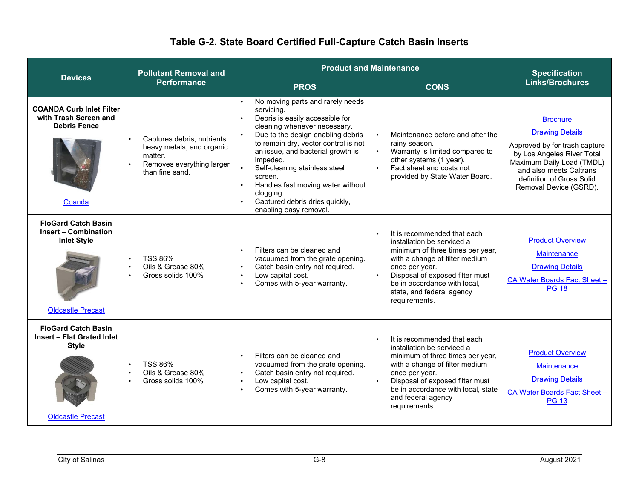| <b>Devices</b>                                                                                              | <b>Pollutant Removal and</b>                                                                                        |                                                                                                                                                                                                                                                                                                                                                                                                           | <b>Product and Maintenance</b>                                                                                                                                                                                                                                     | <b>Specification</b>                                                                                                                                                                                                    |
|-------------------------------------------------------------------------------------------------------------|---------------------------------------------------------------------------------------------------------------------|-----------------------------------------------------------------------------------------------------------------------------------------------------------------------------------------------------------------------------------------------------------------------------------------------------------------------------------------------------------------------------------------------------------|--------------------------------------------------------------------------------------------------------------------------------------------------------------------------------------------------------------------------------------------------------------------|-------------------------------------------------------------------------------------------------------------------------------------------------------------------------------------------------------------------------|
|                                                                                                             | <b>Performance</b>                                                                                                  | <b>PROS</b>                                                                                                                                                                                                                                                                                                                                                                                               | <b>CONS</b>                                                                                                                                                                                                                                                        | <b>Links/Brochures</b>                                                                                                                                                                                                  |
| <b>COANDA Curb Inlet Filter</b><br>with Trash Screen and<br><b>Debris Fence</b><br>Coanda                   | Captures debris, nutrients,<br>heavy metals, and organic<br>matter.<br>Removes everything larger<br>than fine sand. | No moving parts and rarely needs<br>servicing.<br>Debris is easily accessible for<br>cleaning whenever necessary.<br>Due to the design enabling debris<br>to remain dry, vector control is not<br>an issue, and bacterial growth is<br>impeded.<br>Self-cleaning stainless steel<br>screen.<br>Handles fast moving water without<br>clogging.<br>Captured debris dries quickly,<br>enabling easy removal. | Maintenance before and after the<br>rainy season.<br>Warranty is limited compared to<br>other systems (1 year).<br>Fact sheet and costs not<br>provided by State Water Board.                                                                                      | <b>Brochure</b><br><b>Drawing Details</b><br>Approved by for trash capture<br>by Los Angeles River Total<br>Maximum Daily Load (TMDL)<br>and also meets Caltrans<br>definition of Gross Solid<br>Removal Device (GSRD). |
| <b>FloGard Catch Basin</b><br>Insert - Combination<br><b>Inlet Style</b><br><b>Oldcastle Precast</b>        | <b>TSS 86%</b><br>Oils & Grease 80%<br>Gross solids 100%                                                            | Filters can be cleaned and<br>vacuumed from the grate opening.<br>Catch basin entry not required.<br>$\bullet$<br>Low capital cost.<br>$\bullet$<br>Comes with 5-year warranty.                                                                                                                                                                                                                           | It is recommended that each<br>installation be serviced a<br>minimum of three times per year,<br>with a change of filter medium<br>once per year.<br>Disposal of exposed filter must<br>be in accordance with local.<br>state, and federal agency<br>requirements. | <b>Product Overview</b><br><b>Maintenance</b><br><b>Drawing Details</b><br>CA Water Boards Fact Sheet -<br><b>PG 18</b>                                                                                                 |
| <b>FloGard Catch Basin</b><br><b>Insert - Flat Grated Inlet</b><br><b>Style</b><br><b>Oldcastle Precast</b> | <b>TSS 86%</b><br>Oils & Grease 80%<br>Gross solids 100%                                                            | Filters can be cleaned and<br>$\bullet$<br>vacuumed from the grate opening.<br>Catch basin entry not required.<br>$\bullet$<br>Low capital cost.<br>Comes with 5-year warranty.                                                                                                                                                                                                                           | It is recommended that each<br>installation be serviced a<br>minimum of three times per year,<br>with a change of filter medium<br>once per year.<br>Disposal of exposed filter must<br>be in accordance with local, state<br>and federal agency<br>requirements.  | <b>Product Overview</b><br><b>Maintenance</b><br><b>Drawing Details</b><br>CA Water Boards Fact Sheet -<br><b>PG 13</b>                                                                                                 |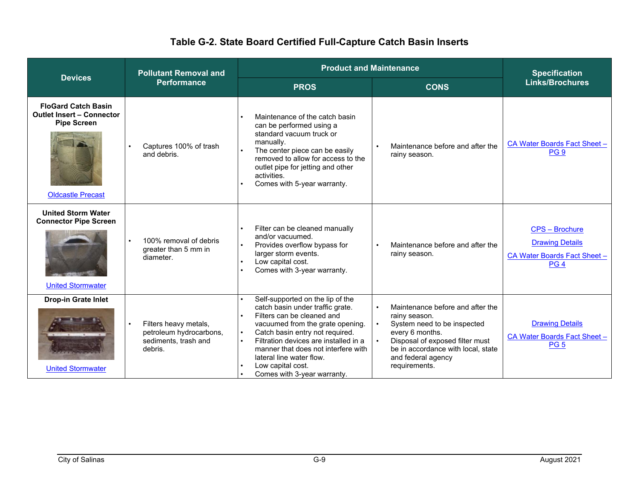|                                                                                                                  | <b>Product and Maintenance</b><br><b>Pollutant Removal and</b>                      |                                                                                                                                                                                                                                                                                                                                                                                  |                                                                                                                                                                                                                     | <b>Specification</b>                                                                               |
|------------------------------------------------------------------------------------------------------------------|-------------------------------------------------------------------------------------|----------------------------------------------------------------------------------------------------------------------------------------------------------------------------------------------------------------------------------------------------------------------------------------------------------------------------------------------------------------------------------|---------------------------------------------------------------------------------------------------------------------------------------------------------------------------------------------------------------------|----------------------------------------------------------------------------------------------------|
| <b>Devices</b>                                                                                                   | <b>Performance</b>                                                                  | <b>PROS</b>                                                                                                                                                                                                                                                                                                                                                                      | <b>CONS</b>                                                                                                                                                                                                         | <b>Links/Brochures</b>                                                                             |
| <b>FloGard Catch Basin</b><br><b>Outlet Insert - Connector</b><br><b>Pipe Screen</b><br><b>Oldcastle Precast</b> | Captures 100% of trash<br>and debris.                                               | Maintenance of the catch basin<br>can be performed using a<br>standard vacuum truck or<br>manually.<br>The center piece can be easily<br>removed to allow for access to the<br>outlet pipe for jetting and other<br>activities.<br>Comes with 5-year warranty.                                                                                                                   | Maintenance before and after the<br>rainy season.                                                                                                                                                                   | CA Water Boards Fact Sheet -<br>PG <sub>9</sub>                                                    |
| <b>United Storm Water</b><br><b>Connector Pipe Screen</b><br><b>United Stormwater</b>                            | 100% removal of debris<br>greater than 5 mm in<br>diameter.                         | Filter can be cleaned manually<br>and/or vacuumed.<br>Provides overflow bypass for<br>larger storm events.<br>Low capital cost.<br>Comes with 3-year warranty.                                                                                                                                                                                                                   | Maintenance before and after the<br>rainy season.                                                                                                                                                                   | <b>CPS - Brochure</b><br><b>Drawing Details</b><br>CA Water Boards Fact Sheet -<br>PG <sub>4</sub> |
| <b>Drop-in Grate Inlet</b><br><b>United Stormwater</b>                                                           | Filters heavy metals,<br>petroleum hydrocarbons,<br>sediments, trash and<br>debris. | Self-supported on the lip of the<br>catch basin under traffic grate.<br>Filters can be cleaned and<br>$\bullet$<br>vacuumed from the grate opening.<br>Catch basin entry not required.<br>$\bullet$<br>Filtration devices are installed in a<br>$\bullet$<br>manner that does not interfere with<br>lateral line water flow.<br>Low capital cost.<br>Comes with 3-year warranty. | Maintenance before and after the<br>rainy season.<br>System need to be inspected<br>every 6 months.<br>Disposal of exposed filter must<br>be in accordance with local, state<br>and federal agency<br>requirements. | <b>Drawing Details</b><br>CA Water Boards Fact Sheet -<br><b>PG 5</b>                              |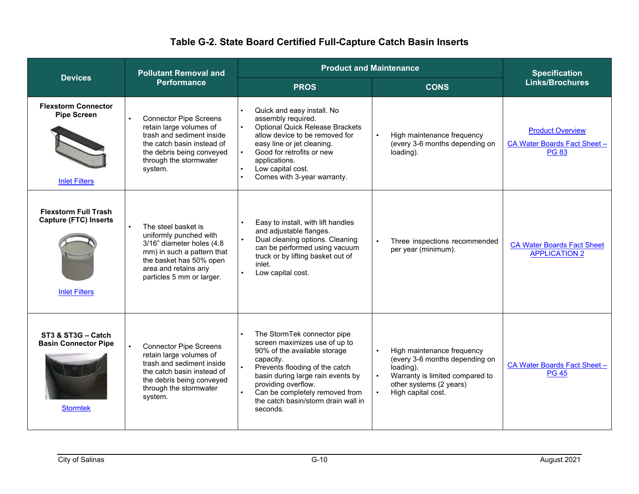| <b>Devices</b>                                                                      | <b>Pollutant Removal and</b>                                                                                                                                                             | <b>Product and Maintenance</b>                                                                                                                                                                                                                                                               |                                                                                                                                                               | <b>Specification</b>                                                    |
|-------------------------------------------------------------------------------------|------------------------------------------------------------------------------------------------------------------------------------------------------------------------------------------|----------------------------------------------------------------------------------------------------------------------------------------------------------------------------------------------------------------------------------------------------------------------------------------------|---------------------------------------------------------------------------------------------------------------------------------------------------------------|-------------------------------------------------------------------------|
|                                                                                     | <b>Performance</b>                                                                                                                                                                       | <b>PROS</b>                                                                                                                                                                                                                                                                                  | <b>CONS</b>                                                                                                                                                   | <b>Links/Brochures</b>                                                  |
| <b>Flexstorm Connector</b><br><b>Pipe Screen</b><br><b>Inlet Filters</b>            | <b>Connector Pipe Screens</b><br>retain large volumes of<br>trash and sediment inside<br>the catch basin instead of<br>the debris being conveyed<br>through the stormwater<br>system.    | Quick and easy install. No<br>assembly required.<br><b>Optional Quick Release Brackets</b><br>allow device to be removed for<br>easy line or jet cleaning.<br>Good for retrofits or new<br>applications.<br>Low capital cost.<br>Comes with 3-year warranty.                                 | High maintenance frequency<br>(every 3-6 months depending on<br>loading).                                                                                     | <b>Product Overview</b><br>CA Water Boards Fact Sheet -<br><b>PG 83</b> |
| <b>Flexstorm Full Trash</b><br><b>Capture (FTC) Inserts</b><br><b>Inlet Filters</b> | The steel basket is<br>uniformly punched with<br>3/16" diameter holes (4.8<br>mm) in such a pattern that<br>the basket has 50% open<br>area and retains any<br>particles 5 mm or larger. | Easy to install, with lift handles<br>and adjustable flanges.<br>Dual cleaning options. Cleaning<br>can be performed using vacuum<br>truck or by lifting basket out of<br>inlet.<br>Low capital cost.                                                                                        | Three inspections recommended<br>per year (minimum).                                                                                                          | <b>CA Water Boards Fact Sheet</b><br><b>APPLICATION 2</b>               |
| ST3 & ST3G - Catch<br><b>Basin Connector Pipe</b><br><b>Stormtek</b>                | <b>Connector Pipe Screens</b><br>retain large volumes of<br>trash and sediment inside<br>the catch basin instead of<br>the debris being conveyed<br>through the stormwater<br>system.    | The StormTek connector pipe<br>screen maximizes use of up to<br>90% of the available storage<br>capacity.<br>Prevents flooding of the catch<br>basin during large rain events by<br>providing overflow.<br>Can be completely removed from<br>the catch basin/storm drain wall in<br>seconds. | High maintenance frequency<br>(every 3-6 months depending on<br>loading).<br>Warranty is limited compared to<br>other systems (2 years)<br>High capital cost. | CA Water Boards Fact Sheet -<br><b>PG 45</b>                            |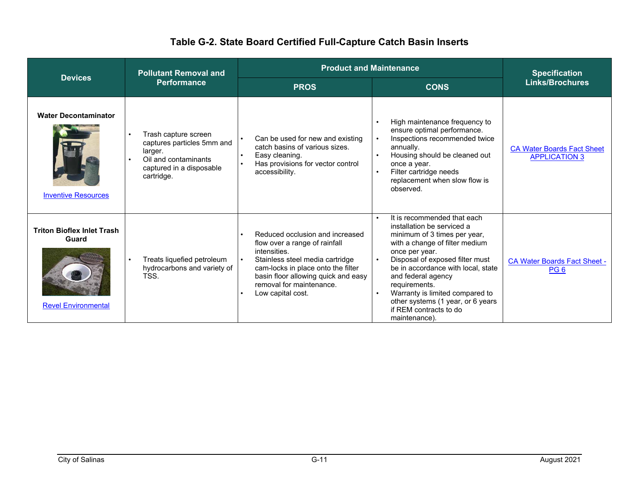|                                                                          | <b>Product and Maintenance</b><br><b>Pollutant Removal and</b>                                                                  |                                                                                                                                                                                                                                                   | <b>Specification</b>                                                                                                                                                                                                                                                                                                                                                            |                                                           |
|--------------------------------------------------------------------------|---------------------------------------------------------------------------------------------------------------------------------|---------------------------------------------------------------------------------------------------------------------------------------------------------------------------------------------------------------------------------------------------|---------------------------------------------------------------------------------------------------------------------------------------------------------------------------------------------------------------------------------------------------------------------------------------------------------------------------------------------------------------------------------|-----------------------------------------------------------|
| <b>Devices</b>                                                           | Performance                                                                                                                     | <b>PROS</b>                                                                                                                                                                                                                                       | <b>CONS</b>                                                                                                                                                                                                                                                                                                                                                                     | <b>Links/Brochures</b>                                    |
| <b>Water Decontaminator</b><br><b>Inventive Resources</b>                | Trash capture screen<br>captures particles 5mm and<br>larger.<br>Oil and contaminants<br>captured in a disposable<br>cartridge. | Can be used for new and existing<br>catch basins of various sizes.<br>Easy cleaning.<br>$\bullet$<br>Has provisions for vector control<br>accessibility.                                                                                          | High maintenance frequency to<br>ensure optimal performance.<br>Inspections recommended twice<br>annually.<br>Housing should be cleaned out<br>once a year.<br>Filter cartridge needs<br>replacement when slow flow is<br>observed.                                                                                                                                             | <b>CA Water Boards Fact Sheet</b><br><b>APPLICATION 3</b> |
| <b>Triton Bioflex Inlet Trash</b><br>Guard<br><b>Revel Environmental</b> | Treats liquefied petroleum<br>hydrocarbons and variety of<br>TSS.                                                               | Reduced occlusion and increased<br>flow over a range of rainfall<br>intensities.<br>Stainless steel media cartridge<br>cam-locks in place onto the filter<br>basin floor allowing quick and easy<br>removal for maintenance.<br>Low capital cost. | It is recommended that each<br>installation be serviced a<br>minimum of 3 times per year,<br>with a change of filter medium<br>once per year.<br>Disposal of exposed filter must<br>be in accordance with local, state<br>and federal agency<br>requirements.<br>Warranty is limited compared to<br>other systems (1 year, or 6 years<br>if REM contracts to do<br>maintenance) | <b>CA Water Boards Fact Sheet -</b><br>PG <sub>6</sub>    |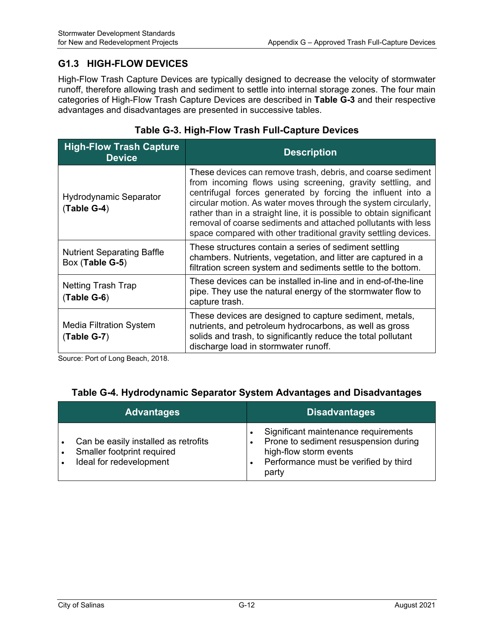#### **G1.3 HIGH-FLOW DEVICES**

High-Flow Trash Capture Devices are typically designed to decrease the velocity of stormwater runoff, therefore allowing trash and sediment to settle into internal storage zones. The four main categories of High-Flow Trash Capture Devices are described in **Table G-3** and their respective advantages and disadvantages are presented in successive tables.

| <b>High-Flow Trash Capture</b><br><b>Device</b>      | <b>Description</b>                                                                                                                                                                                                                                                                                                                                                                                                                                                     |
|------------------------------------------------------|------------------------------------------------------------------------------------------------------------------------------------------------------------------------------------------------------------------------------------------------------------------------------------------------------------------------------------------------------------------------------------------------------------------------------------------------------------------------|
| <b>Hydrodynamic Separator</b><br>$(Table G-4)$       | These devices can remove trash, debris, and coarse sediment<br>from incoming flows using screening, gravity settling, and<br>centrifugal forces generated by forcing the influent into a<br>circular motion. As water moves through the system circularly,<br>rather than in a straight line, it is possible to obtain significant<br>removal of coarse sediments and attached pollutants with less<br>space compared with other traditional gravity settling devices. |
| <b>Nutrient Separating Baffle</b><br>Box (Table G-5) | These structures contain a series of sediment settling<br>chambers. Nutrients, vegetation, and litter are captured in a<br>filtration screen system and sediments settle to the bottom.                                                                                                                                                                                                                                                                                |
| Netting Trash Trap<br>(Table G-6)                    | These devices can be installed in-line and in end-of-the-line<br>pipe. They use the natural energy of the stormwater flow to<br>capture trash.                                                                                                                                                                                                                                                                                                                         |
| <b>Media Filtration System</b><br>$(Table G-7)$      | These devices are designed to capture sediment, metals,<br>nutrients, and petroleum hydrocarbons, as well as gross<br>solids and trash, to significantly reduce the total pollutant<br>discharge load in stormwater runoff.                                                                                                                                                                                                                                            |

#### **Table G-3. High-Flow Trash Full-Capture Devices**

Source: Port of Long Beach, 2018.

#### **Table G-4. Hydrodynamic Separator System Advantages and Disadvantages**

| <b>Advantages</b>                                                                             | <b>Disadvantages</b>                                                                                                                                      |
|-----------------------------------------------------------------------------------------------|-----------------------------------------------------------------------------------------------------------------------------------------------------------|
| Can be easily installed as retrofits<br>Smaller footprint required<br>Ideal for redevelopment | Significant maintenance requirements<br>Prone to sediment resuspension during<br>high-flow storm events<br>Performance must be verified by third<br>party |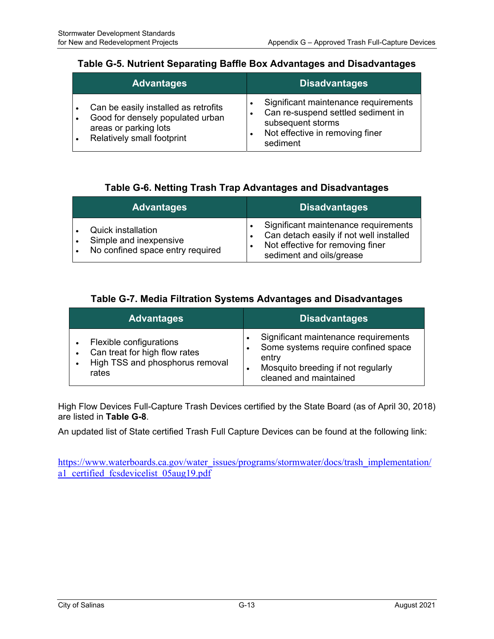#### **Table G-5. Nutrient Separating Baffle Box Advantages and Disadvantages**

| <b>Advantages</b>                                                                                                               | <b>Disadvantages</b>                                                                                                                           |
|---------------------------------------------------------------------------------------------------------------------------------|------------------------------------------------------------------------------------------------------------------------------------------------|
| Can be easily installed as retrofits<br>Good for densely populated urban<br>areas or parking lots<br>Relatively small footprint | Significant maintenance requirements<br>Can re-suspend settled sediment in<br>subsequent storms<br>Not effective in removing finer<br>sediment |

#### **Table G-6. Netting Trash Trap Advantages and Disadvantages**

| <b>Advantages</b>                                                                       | <b>Disadvantages</b>                                                                                                                            |
|-----------------------------------------------------------------------------------------|-------------------------------------------------------------------------------------------------------------------------------------------------|
| <b>Quick installation</b><br>Simple and inexpensive<br>No confined space entry required | Significant maintenance requirements<br>Can detach easily if not well installed<br>Not effective for removing finer<br>sediment and oils/grease |

#### **Table G-7. Media Filtration Systems Advantages and Disadvantages**

| <b>Advantages</b>                                                                                    |                | <b>Disadvantages</b>                                                                                                                                 |
|------------------------------------------------------------------------------------------------------|----------------|------------------------------------------------------------------------------------------------------------------------------------------------------|
| Flexible configurations<br>Can treat for high flow rates<br>High TSS and phosphorus removal<br>rates | $\bullet$<br>٠ | Significant maintenance requirements<br>Some systems require confined space<br>entry<br>Mosquito breeding if not regularly<br>cleaned and maintained |

High Flow Devices Full-Capture Trash Devices certified by the State Board (as of April 30, 2018) are listed in **Table G-8**.

An updated list of State certified Trash Full Capture Devices can be found at the following link:

https://www.waterboards.ca.gov/water\_issues/programs/stormwater/docs/trash\_implementation/ a1\_certified\_fcsdevicelist\_05aug19.pdf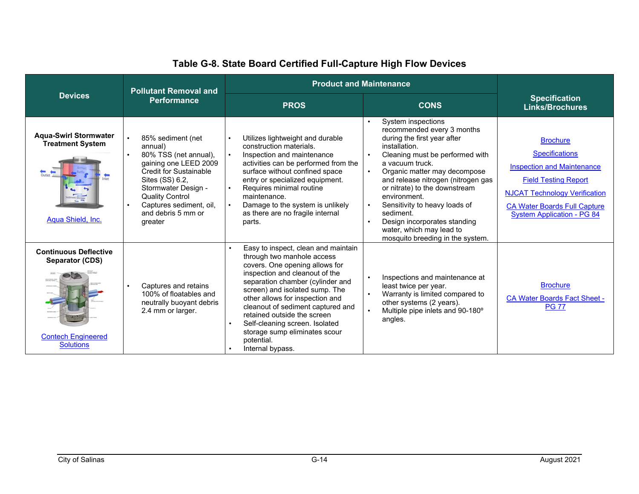|                                                                                                  | <b>Pollutant Removal and</b>                                                                                                                                                                                                                    | <b>Product and Maintenance</b>                                                                                                                                                                                                                                                                                                                                                                                          |                                                                                                                                                                                                                                                                                                                                                                                                                                          |                                                                                                                                                                                                                                  |
|--------------------------------------------------------------------------------------------------|-------------------------------------------------------------------------------------------------------------------------------------------------------------------------------------------------------------------------------------------------|-------------------------------------------------------------------------------------------------------------------------------------------------------------------------------------------------------------------------------------------------------------------------------------------------------------------------------------------------------------------------------------------------------------------------|------------------------------------------------------------------------------------------------------------------------------------------------------------------------------------------------------------------------------------------------------------------------------------------------------------------------------------------------------------------------------------------------------------------------------------------|----------------------------------------------------------------------------------------------------------------------------------------------------------------------------------------------------------------------------------|
| <b>Devices</b>                                                                                   | Performance                                                                                                                                                                                                                                     | <b>PROS</b>                                                                                                                                                                                                                                                                                                                                                                                                             | <b>CONS</b>                                                                                                                                                                                                                                                                                                                                                                                                                              | <b>Specification</b><br><b>Links/Brochures</b>                                                                                                                                                                                   |
| <b>Aqua-Swirl Stormwater</b><br><b>Treatment System</b><br>Aqua Shield, Inc.                     | 85% sediment (net<br>annual)<br>80% TSS (net annual),<br>gaining one LEED 2009<br><b>Credit for Sustainable</b><br>Sites (SS) 6.2,<br>Stormwater Design -<br><b>Quality Control</b><br>Captures sediment, oil,<br>and debris 5 mm or<br>greater | Utilizes lightweight and durable<br>construction materials.<br>Inspection and maintenance<br>activities can be performed from the<br>surface without confined space<br>entry or specialized equipment.<br>Requires minimal routine<br>maintenance.<br>Damage to the system is unlikely<br>as there are no fragile internal<br>parts.                                                                                    | System inspections<br>recommended every 3 months<br>during the first year after<br>installation.<br>Cleaning must be performed with<br>a vacuum truck.<br>Organic matter may decompose<br>$\bullet$<br>and release nitrogen (nitrogen gas<br>or nitrate) to the downstream<br>environment.<br>Sensitivity to heavy loads of<br>sediment.<br>Design incorporates standing<br>water, which may lead to<br>mosquito breeding in the system. | <b>Brochure</b><br><b>Specifications</b><br><b>Inspection and Maintenance</b><br><b>Field Testing Report</b><br><b>NJCAT Technology Verification</b><br><b>CA Water Boards Full Capture</b><br><b>System Application - PG 84</b> |
| <b>Continuous Deflective</b><br>Separator (CDS)<br><b>Contech Engineered</b><br><b>Solutions</b> | Captures and retains<br>100% of floatables and<br>neutrally buoyant debris<br>2.4 mm or larger.                                                                                                                                                 | Easy to inspect, clean and maintain<br>through two manhole access<br>covers. One opening allows for<br>inspection and cleanout of the<br>separation chamber (cylinder and<br>screen) and isolated sump. The<br>other allows for inspection and<br>cleanout of sediment captured and<br>retained outside the screen<br>Self-cleaning screen. Isolated<br>storage sump eliminates scour<br>potential.<br>Internal bypass. | Inspections and maintenance at<br>$\bullet$<br>least twice per year.<br>Warranty is limited compared to<br>other systems (2 years).<br>Multiple pipe inlets and 90-180°<br>angles.                                                                                                                                                                                                                                                       | <b>Brochure</b><br><b>CA Water Boards Fact Sheet -</b><br><b>PG 77</b>                                                                                                                                                           |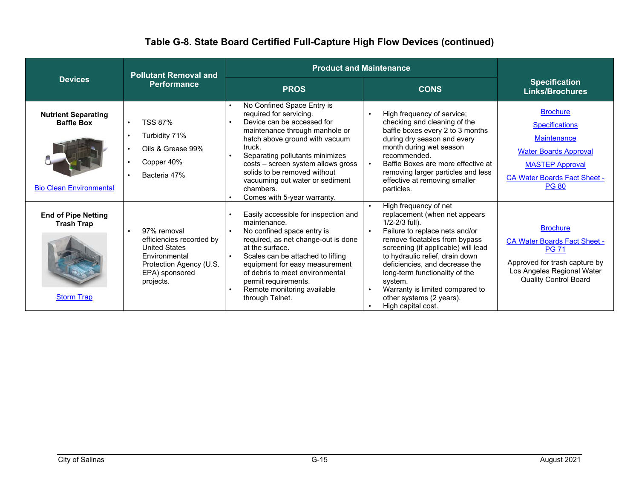|                                                                                   | <b>Pollutant Removal and</b>                                                                                                               | <b>Product and Maintenance</b>                                                                                                                                                                                                                                                                                                                                         |                                                                                                                                                                                                                                                                                                                                                                                               |                                                                                                                                                                                 |
|-----------------------------------------------------------------------------------|--------------------------------------------------------------------------------------------------------------------------------------------|------------------------------------------------------------------------------------------------------------------------------------------------------------------------------------------------------------------------------------------------------------------------------------------------------------------------------------------------------------------------|-----------------------------------------------------------------------------------------------------------------------------------------------------------------------------------------------------------------------------------------------------------------------------------------------------------------------------------------------------------------------------------------------|---------------------------------------------------------------------------------------------------------------------------------------------------------------------------------|
| <b>Devices</b>                                                                    | <b>Performance</b>                                                                                                                         | <b>PROS</b>                                                                                                                                                                                                                                                                                                                                                            | <b>CONS</b>                                                                                                                                                                                                                                                                                                                                                                                   | <b>Specification</b><br><b>Links/Brochures</b>                                                                                                                                  |
| <b>Nutrient Separating</b><br><b>Baffle Box</b><br><b>Bio Clean Environmental</b> | <b>TSS 87%</b><br>Turbidity 71%<br>Oils & Grease 99%<br>Copper 40%<br>Bacteria 47%                                                         | No Confined Space Entry is<br>required for servicing.<br>Device can be accessed for<br>$\bullet$<br>maintenance through manhole or<br>hatch above ground with vacuum<br>truck.<br>Separating pollutants minimizes<br>costs - screen system allows gross<br>solids to be removed without<br>vacuuming out water or sediment<br>chambers.<br>Comes with 5-year warranty. | High frequency of service;<br>checking and cleaning of the<br>baffle boxes every 2 to 3 months<br>during dry season and every<br>month during wet season<br>recommended.<br>Baffle Boxes are more effective at<br>removing larger particles and less<br>effective at removing smaller<br>particles.                                                                                           | <b>Brochure</b><br><b>Specifications</b><br><b>Maintenance</b><br><b>Water Boards Approval</b><br><b>MASTEP Approval</b><br><b>CA Water Boards Fact Sheet -</b><br><b>PG 80</b> |
| <b>End of Pipe Netting</b><br><b>Trash Trap</b><br><b>Storm Trap</b>              | 97% removal<br>efficiencies recorded by<br><b>United States</b><br>Environmental<br>Protection Agency (U.S.<br>EPA) sponsored<br>projects. | Easily accessible for inspection and<br>maintenance.<br>No confined space entry is<br>required, as net change-out is done<br>at the surface.<br>Scales can be attached to lifting<br>$\bullet$<br>equipment for easy measurement<br>of debris to meet environmental<br>permit requirements.<br>Remote monitoring available<br>through Telnet.                          | High frequency of net<br>replacement (when net appears<br>$1/2 - 2/3$ full).<br>Failure to replace nets and/or<br>remove floatables from bypass<br>screening (if applicable) will lead<br>to hydraulic relief, drain down<br>deficiencies, and decrease the<br>long-term functionality of the<br>system.<br>Warranty is limited compared to<br>other systems (2 years).<br>High capital cost. | <b>Brochure</b><br><b>CA Water Boards Fact Sheet -</b><br><b>PG 71</b><br>Approved for trash capture by<br>Los Angeles Regional Water<br><b>Quality Control Board</b>           |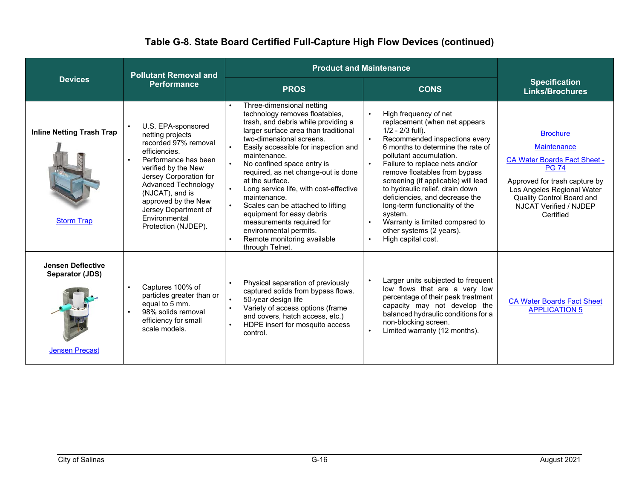|                                                                      | <b>Pollutant Removal and</b>                                                                                                                                                                                                                                                                     | <b>Product and Maintenance</b>                                                                                                                                                                                                                                                                                                                                                                                                                                                                                                                              |                                                                                                                                                                                                                                                                                                                                                                                                                                                                                                |                                                                                                                                                                                                                                 |
|----------------------------------------------------------------------|--------------------------------------------------------------------------------------------------------------------------------------------------------------------------------------------------------------------------------------------------------------------------------------------------|-------------------------------------------------------------------------------------------------------------------------------------------------------------------------------------------------------------------------------------------------------------------------------------------------------------------------------------------------------------------------------------------------------------------------------------------------------------------------------------------------------------------------------------------------------------|------------------------------------------------------------------------------------------------------------------------------------------------------------------------------------------------------------------------------------------------------------------------------------------------------------------------------------------------------------------------------------------------------------------------------------------------------------------------------------------------|---------------------------------------------------------------------------------------------------------------------------------------------------------------------------------------------------------------------------------|
| <b>Devices</b>                                                       | <b>Performance</b>                                                                                                                                                                                                                                                                               | <b>PROS</b>                                                                                                                                                                                                                                                                                                                                                                                                                                                                                                                                                 | <b>CONS</b>                                                                                                                                                                                                                                                                                                                                                                                                                                                                                    | <b>Specification</b><br><b>Links/Brochures</b>                                                                                                                                                                                  |
| <b>Inline Netting Trash Trap</b><br><b>Storm Trap</b>                | U.S. EPA-sponsored<br>netting projects<br>recorded 97% removal<br>efficiencies.<br>Performance has been<br>verified by the New<br>Jersey Corporation for<br><b>Advanced Technology</b><br>(NJCAT), and is<br>approved by the New<br>Jersey Department of<br>Environmental<br>Protection (NJDEP). | Three-dimensional netting<br>technology removes floatables,<br>trash, and debris while providing a<br>larger surface area than traditional<br>two-dimensional screens.<br>Easily accessible for inspection and<br>maintenance.<br>No confined space entry is<br>required, as net change-out is done<br>at the surface.<br>Long service life, with cost-effective<br>maintenance.<br>Scales can be attached to lifting<br>equipment for easy debris<br>measurements required for<br>environmental permits.<br>Remote monitoring available<br>through Telnet. | High frequency of net<br>replacement (when net appears<br>$1/2 - 2/3$ full).<br>Recommended inspections every<br>6 months to determine the rate of<br>pollutant accumulation.<br>Failure to replace nets and/or<br>remove floatables from bypass<br>screening (if applicable) will lead<br>to hydraulic relief, drain down<br>deficiencies, and decrease the<br>long-term functionality of the<br>system.<br>Warranty is limited compared to<br>other systems (2 years).<br>High capital cost. | <b>Brochure</b><br><b>Maintenance</b><br><b>CA Water Boards Fact Sheet -</b><br><b>PG 74</b><br>Approved for trash capture by<br>Los Angeles Regional Water<br>Quality Control Board and<br>NJCAT Verified / NJDEP<br>Certified |
| <b>Jensen Deflective</b><br>Separator (JDS)<br><b>Jensen Precast</b> | Captures 100% of<br>particles greater than or<br>equal to 5 mm.<br>98% solids removal<br>efficiency for small<br>scale models.                                                                                                                                                                   | Physical separation of previously<br>captured solids from bypass flows.<br>50-year design life<br>Variety of access options (frame<br>and covers, hatch access, etc.)<br>HDPE insert for mosquito access<br>control.                                                                                                                                                                                                                                                                                                                                        | Larger units subjected to frequent<br>low flows that are a very low<br>percentage of their peak treatment<br>capacity may not develop the<br>balanced hydraulic conditions for a<br>non-blocking screen.<br>Limited warranty (12 months).                                                                                                                                                                                                                                                      | <b>CA Water Boards Fact Sheet</b><br><b>APPLICATION 5</b>                                                                                                                                                                       |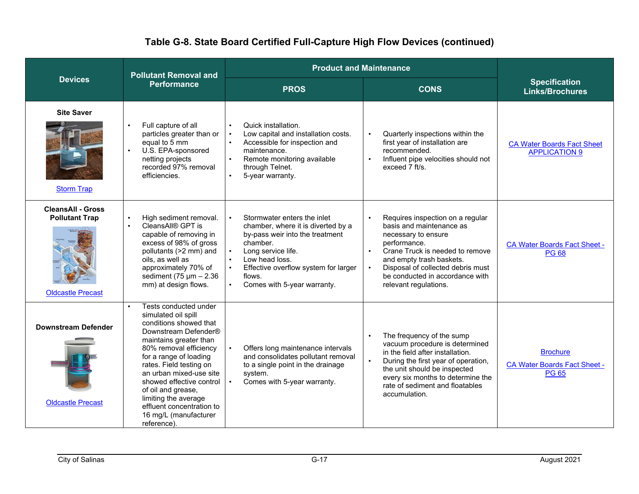|                                                                               | <b>Pollutant Removal and</b>                                                                                                                                                                                                                                                                                                                                                                   | <b>Product and Maintenance</b>                                                                                                                                                                                                                                                                             |                                                                                                                                                                                                                                                                                                            |                                                                        |
|-------------------------------------------------------------------------------|------------------------------------------------------------------------------------------------------------------------------------------------------------------------------------------------------------------------------------------------------------------------------------------------------------------------------------------------------------------------------------------------|------------------------------------------------------------------------------------------------------------------------------------------------------------------------------------------------------------------------------------------------------------------------------------------------------------|------------------------------------------------------------------------------------------------------------------------------------------------------------------------------------------------------------------------------------------------------------------------------------------------------------|------------------------------------------------------------------------|
| <b>Devices</b>                                                                | <b>Performance</b>                                                                                                                                                                                                                                                                                                                                                                             | <b>PROS</b>                                                                                                                                                                                                                                                                                                | <b>CONS</b>                                                                                                                                                                                                                                                                                                | <b>Specification</b><br><b>Links/Brochures</b>                         |
| <b>Site Saver</b><br><b>Storm Trap</b>                                        | Full capture of all<br>particles greater than or<br>equal to 5 mm<br>U.S. EPA-sponsored<br>$\bullet$<br>netting projects<br>recorded 97% removal<br>efficiencies.                                                                                                                                                                                                                              | Quick installation.<br>$\bullet$<br>Low capital and installation costs.<br>$\bullet$<br>Accessible for inspection and<br>maintenance.<br>Remote monitoring available<br>$\bullet$<br>through Telnet.<br>$\bullet$<br>5-year warranty.                                                                      | Quarterly inspections within the<br>$\bullet$<br>first year of installation are<br>recommended.<br>Influent pipe velocities should not<br>$\bullet$<br>exceed 7 ft/s.                                                                                                                                      | <b>CA Water Boards Fact Sheet</b><br><b>APPLICATION 9</b>              |
| <b>CleansAll - Gross</b><br><b>Pollutant Trap</b><br><b>Oldcastle Precast</b> | High sediment removal.<br>$\bullet$<br>CleansAll® GPT is<br>capable of removing in<br>excess of 98% of gross<br>pollutants (>2 mm) and<br>oils, as well as<br>approximately 70% of<br>sediment (75 $\mu$ m – 2.36<br>mm) at design flows.                                                                                                                                                      | Stormwater enters the inlet<br>$\bullet$<br>chamber, where it is diverted by a<br>by-pass weir into the treatment<br>chamber.<br>Long service life.<br>$\bullet$<br>$\bullet$<br>Low head loss.<br>Effective overflow system for larger<br>$\bullet$<br>flows.<br>Comes with 5-year warranty.<br>$\bullet$ | Requires inspection on a regular<br>$\bullet$<br>basis and maintenance as<br>necessary to ensure<br>performance.<br>Crane Truck is needed to remove<br>$\bullet$<br>and empty trash baskets.<br>Disposal of collected debris must<br>$\bullet$<br>be conducted in accordance with<br>relevant regulations. | <b>CA Water Boards Fact Sheet -</b><br><b>PG 68</b>                    |
| <b>Downstream Defender</b><br><b>Oldcastle Precast</b>                        | Tests conducted under<br>$\bullet$<br>simulated oil spill<br>conditions showed that<br>Downstream Defender®<br>maintains greater than<br>80% removal efficiency<br>for a range of loading<br>rates. Field testing on<br>an urban mixed-use site<br>showed effective control<br>of oil and grease,<br>limiting the average<br>effluent concentration to<br>16 mg/L (manufacturer<br>reference). | Offers long maintenance intervals<br>$\bullet$<br>and consolidates pollutant removal<br>to a single point in the drainage<br>system.<br>Comes with 5-year warranty.                                                                                                                                        | The frequency of the sump<br>$\bullet$<br>vacuum procedure is determined<br>in the field after installation.<br>During the first year of operation,<br>$\bullet$<br>the unit should be inspected<br>every six months to determine the<br>rate of sediment and floatables<br>accumulation.                  | <b>Brochure</b><br><b>CA Water Boards Fact Sheet -</b><br><b>PG 65</b> |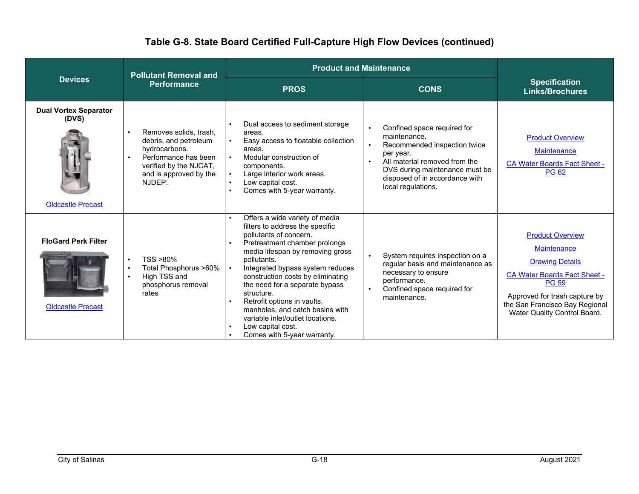|                                                                   | <b>Pollutant Removal and</b>                                                                                                                           | <b>Product and Maintenance</b>                                                                                                                                                                                                                                                                                                                                                                                                                                     |                                                                                                                                                                                                                     |                                                                                                                                                                                                                                   |
|-------------------------------------------------------------------|--------------------------------------------------------------------------------------------------------------------------------------------------------|--------------------------------------------------------------------------------------------------------------------------------------------------------------------------------------------------------------------------------------------------------------------------------------------------------------------------------------------------------------------------------------------------------------------------------------------------------------------|---------------------------------------------------------------------------------------------------------------------------------------------------------------------------------------------------------------------|-----------------------------------------------------------------------------------------------------------------------------------------------------------------------------------------------------------------------------------|
| <b>Devices</b>                                                    | <b>Performance</b>                                                                                                                                     | <b>PROS</b>                                                                                                                                                                                                                                                                                                                                                                                                                                                        | <b>CONS</b>                                                                                                                                                                                                         | <b>Specification</b><br><b>Links/Brochures</b>                                                                                                                                                                                    |
| <b>Dual Vortex Separator</b><br>(DVS)<br><b>Oldcastle Precast</b> | Removes solids, trash,<br>debris, and petroleum<br>hydrocarbons.<br>Performance has been<br>verified by the NJCAT,<br>and is approved by the<br>NJDEP. | Dual access to sediment storage<br>areas.<br>Easy access to floatable collection<br>areas.<br>Modular construction of<br>components.<br>Large interior work areas.<br>Low capital cost.<br>Comes with 5-year warranty.                                                                                                                                                                                                                                             | Confined space required for<br>maintenance.<br>Recommended inspection twice<br>per year.<br>All material removed from the<br>DVS during maintenance must be<br>disposed of in accordance with<br>local regulations. | <b>Product Overview</b><br><b>Maintenance</b><br><b>CA Water Boards Fact Sheet -</b><br><b>PG 62</b>                                                                                                                              |
| <b>FloGard Perk Filter</b><br><b>Oldcastle Precast</b>            | TSS >80%<br>Total Phosphorus >60%<br>High TSS and<br>phosphorus removal<br>rates                                                                       | Offers a wide variety of media<br>filters to address the specific<br>pollutants of concern.<br>Pretreatment chamber prolongs<br>media lifespan by removing gross<br>pollutants.<br>Integrated bypass system reduces<br>construction costs by eliminating<br>the need for a separate bypass<br>structure.<br>Retrofit options in vaults,<br>manholes, and catch basins with<br>variable inlet/outlet locations.<br>Low capital cost.<br>Comes with 5-year warranty. | System requires inspection on a<br>$\bullet$<br>regular basis and maintenance as<br>necessary to ensure<br>performance.<br>Confined space required for<br>maintenance.                                              | <b>Product Overview</b><br><b>Maintenance</b><br><b>Drawing Details</b><br><b>CA Water Boards Fact Sheet -</b><br><b>PG 59</b><br>Approved for trash capture by<br>the San Francisco Bay Regional<br>Water Quality Control Board. |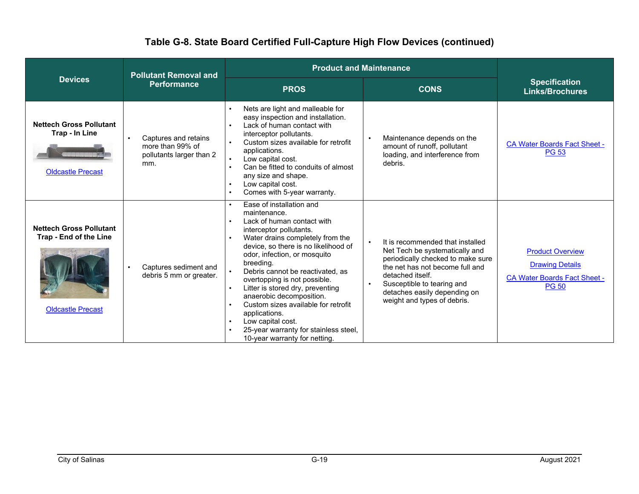|                                                                                      | <b>Pollutant Removal and</b>                                                | <b>Product and Maintenance</b>                                                                                                                                                                                                                                                                                                                                                                                                                                                                                        |                                                                                                                                                                                                                                                                          |                                                                                                          |
|--------------------------------------------------------------------------------------|-----------------------------------------------------------------------------|-----------------------------------------------------------------------------------------------------------------------------------------------------------------------------------------------------------------------------------------------------------------------------------------------------------------------------------------------------------------------------------------------------------------------------------------------------------------------------------------------------------------------|--------------------------------------------------------------------------------------------------------------------------------------------------------------------------------------------------------------------------------------------------------------------------|----------------------------------------------------------------------------------------------------------|
| <b>Devices</b>                                                                       | <b>Performance</b>                                                          | <b>PROS</b>                                                                                                                                                                                                                                                                                                                                                                                                                                                                                                           | <b>CONS</b>                                                                                                                                                                                                                                                              | <b>Specification</b><br><b>Links/Brochures</b>                                                           |
| <b>Nettech Gross Pollutant</b><br>Trap - In Line<br><b>Oldcastle Precast</b>         | Captures and retains<br>more than 99% of<br>pollutants larger than 2<br>mm. | Nets are light and malleable for<br>easy inspection and installation.<br>Lack of human contact with<br>interceptor pollutants.<br>Custom sizes available for retrofit<br>applications.<br>Low capital cost.<br>Can be fitted to conduits of almost<br>any size and shape.<br>Low capital cost.<br>Comes with 5-year warranty.                                                                                                                                                                                         | Maintenance depends on the<br>amount of runoff, pollutant<br>loading, and interference from<br>debris.                                                                                                                                                                   | <b>CA Water Boards Fact Sheet -</b><br><b>PG 53</b>                                                      |
| <b>Nettech Gross Pollutant</b><br>Trap - End of the Line<br><b>Oldcastle Precast</b> | Captures sediment and<br>debris 5 mm or greater.                            | Ease of installation and<br>maintenance.<br>Lack of human contact with<br>interceptor pollutants.<br>Water drains completely from the<br>device, so there is no likelihood of<br>odor, infection, or mosquito<br>breeding.<br>Debris cannot be reactivated, as<br>overtopping is not possible.<br>Litter is stored dry, preventing<br>anaerobic decomposition.<br>Custom sizes available for retrofit<br>applications.<br>Low capital cost.<br>25-year warranty for stainless steel,<br>10-year warranty for netting. | It is recommended that installed<br>$\bullet$<br>Net Tech be systematically and<br>periodically checked to make sure<br>the net has not become full and<br>detached itself.<br>Susceptible to tearing and<br>detaches easily depending on<br>weight and types of debris. | <b>Product Overview</b><br><b>Drawing Details</b><br><b>CA Water Boards Fact Sheet -</b><br><b>PG 50</b> |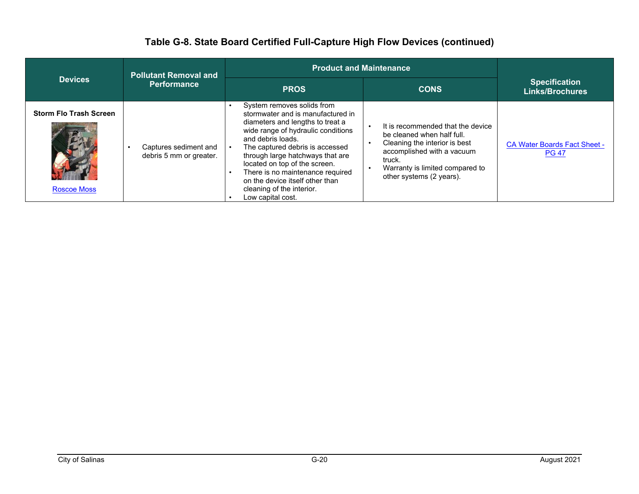|                                                     | <b>Pollutant Removal and</b><br><b>Performance</b> | <b>Product and Maintenance</b>                                                                                                                                                                                                                                                                                                                                                                  |                                                                                                                                                                                                         |                                                     |
|-----------------------------------------------------|----------------------------------------------------|-------------------------------------------------------------------------------------------------------------------------------------------------------------------------------------------------------------------------------------------------------------------------------------------------------------------------------------------------------------------------------------------------|---------------------------------------------------------------------------------------------------------------------------------------------------------------------------------------------------------|-----------------------------------------------------|
| <b>Devices</b>                                      |                                                    | <b>PROS</b>                                                                                                                                                                                                                                                                                                                                                                                     | <b>CONS</b>                                                                                                                                                                                             | <b>Specification</b><br><b>Links/Brochures</b>      |
| <b>Storm Flo Trash Screen</b><br><b>Roscoe Moss</b> | Captures sediment and<br>debris 5 mm or greater.   | System removes solids from<br>stormwater and is manufactured in<br>diameters and lengths to treat a<br>wide range of hydraulic conditions<br>and debris loads.<br>The captured debris is accessed<br>through large hatchways that are<br>located on top of the screen.<br>There is no maintenance required<br>on the device itself other than<br>cleaning of the interior.<br>Low capital cost. | It is recommended that the device<br>be cleaned when half full.<br>Cleaning the interior is best<br>accomplished with a vacuum<br>truck.<br>Warranty is limited compared to<br>other systems (2 years). | <b>CA Water Boards Fact Sheet -</b><br><b>PG 47</b> |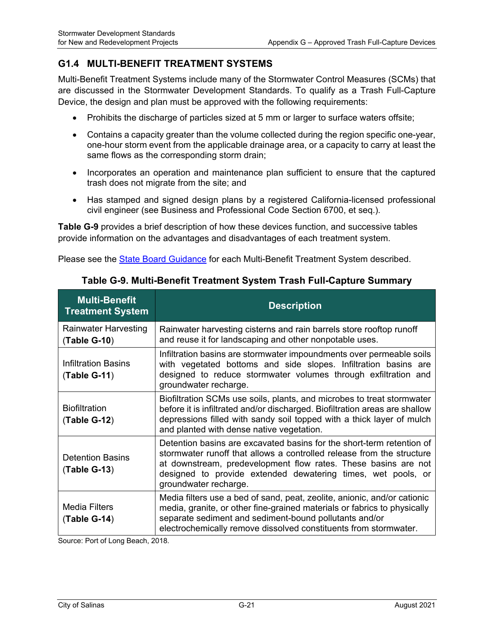#### **G1.4 MULTI-BENEFIT TREATMENT SYSTEMS**

Multi-Benefit Treatment Systems include many of the Stormwater Control Measures (SCMs) that are discussed in the Stormwater Development Standards. To qualify as a Trash Full-Capture Device, the design and plan must be approved with the following requirements:

- Prohibits the discharge of particles sized at 5 mm or larger to surface waters offsite;
- Contains a capacity greater than the volume collected during the region specific one-year, one-hour storm event from the applicable drainage area, or a capacity to carry at least the same flows as the corresponding storm drain;
- Incorporates an operation and maintenance plan sufficient to ensure that the captured trash does not migrate from the site; and
- Has stamped and signed design plans by a registered California-licensed professional civil engineer (see Business and Professional Code Section 6700, et seq.).

**Table G-9** provides a brief description of how these devices function, and successive tables provide information on the advantages and disadvantages of each treatment system.

Please see the State Board Guidance for each Multi-Benefit Treatment System described.

| <b>Multi-Benefit</b><br><b>Treatment System</b> | <b>Description</b>                                                                                                                                                                                                                                                                                        |
|-------------------------------------------------|-----------------------------------------------------------------------------------------------------------------------------------------------------------------------------------------------------------------------------------------------------------------------------------------------------------|
| <b>Rainwater Harvesting</b><br>(Table G-10)     | Rainwater harvesting cisterns and rain barrels store rooftop runoff<br>and reuse it for landscaping and other nonpotable uses.                                                                                                                                                                            |
| Infiltration Basins<br>$(Table G-11)$           | Infiltration basins are stormwater impoundments over permeable soils<br>with vegetated bottoms and side slopes. Infiltration basins are<br>designed to reduce stormwater volumes through exfiltration and<br>groundwater recharge.                                                                        |
| <b>Biofiltration</b><br>$(Table G-12)$          | Biofiltration SCMs use soils, plants, and microbes to treat stormwater<br>before it is infiltrated and/or discharged. Biofiltration areas are shallow<br>depressions filled with sandy soil topped with a thick layer of mulch<br>and planted with dense native vegetation.                               |
| <b>Detention Basins</b><br>$(Table G-13)$       | Detention basins are excavated basins for the short-term retention of<br>stormwater runoff that allows a controlled release from the structure<br>at downstream, predevelopment flow rates. These basins are not<br>designed to provide extended dewatering times, wet pools, or<br>groundwater recharge. |
| <b>Media Filters</b><br>$(Table G-14)$          | Media filters use a bed of sand, peat, zeolite, anionic, and/or cationic<br>media, granite, or other fine-grained materials or fabrics to physically<br>separate sediment and sediment-bound pollutants and/or<br>electrochemically remove dissolved constituents from stormwater.                        |

#### **Table G-9. Multi-Benefit Treatment System Trash Full-Capture Summary**

Source: Port of Long Beach, 2018.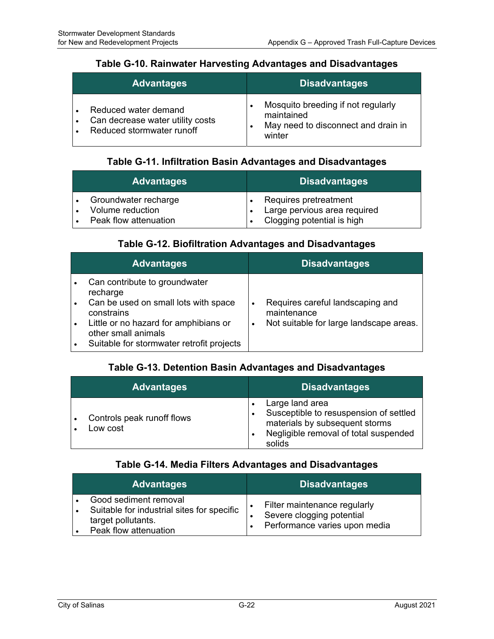#### **Table G-10. Rainwater Harvesting Advantages and Disadvantages**

| <b>Advantages</b>                                                                     | <b>Disadvantages</b>                                                                              |
|---------------------------------------------------------------------------------------|---------------------------------------------------------------------------------------------------|
| Reduced water demand<br>Can decrease water utility costs<br>Reduced stormwater runoff | Mosquito breeding if not regularly<br>maintained<br>May need to disconnect and drain in<br>winter |

#### **Table G-11. Infiltration Basin Advantages and Disadvantages**

| <b>Advantages</b>                                                 | <b>Disadvantages</b>                                                                |
|-------------------------------------------------------------------|-------------------------------------------------------------------------------------|
| Groundwater recharge<br>Volume reduction<br>Peak flow attenuation | Requires pretreatment<br>Large pervious area required<br>Clogging potential is high |

#### **Table G-12. Biofiltration Advantages and Disadvantages**

| <b>Advantages</b>                                                                                                                                                                                            | <b>Disadvantages</b>                                                                                         |
|--------------------------------------------------------------------------------------------------------------------------------------------------------------------------------------------------------------|--------------------------------------------------------------------------------------------------------------|
| Can contribute to groundwater<br>recharge<br>Can be used on small lots with space<br>constrains<br>Little or no hazard for amphibians or<br>other small animals<br>Suitable for stormwater retrofit projects | Requires careful landscaping and<br>٠<br>maintenance<br>Not suitable for large landscape areas.<br>$\bullet$ |

#### **Table G-13. Detention Basin Advantages and Disadvantages**

| <b>Advantages</b>                      | <b>Disadvantages</b>                                                                                                                           |
|----------------------------------------|------------------------------------------------------------------------------------------------------------------------------------------------|
| Controls peak runoff flows<br>Low cost | Large land area<br>Susceptible to resuspension of settled<br>materials by subsequent storms<br>Negligible removal of total suspended<br>solids |

#### **Table G-14. Media Filters Advantages and Disadvantages**

| <b>Advantages</b>                                                                                                  | <b>Disadvantages</b>                                                                       |
|--------------------------------------------------------------------------------------------------------------------|--------------------------------------------------------------------------------------------|
| Good sediment removal<br>Suitable for industrial sites for specific<br>target pollutants.<br>Peak flow attenuation | Filter maintenance regularly<br>Severe clogging potential<br>Performance varies upon media |